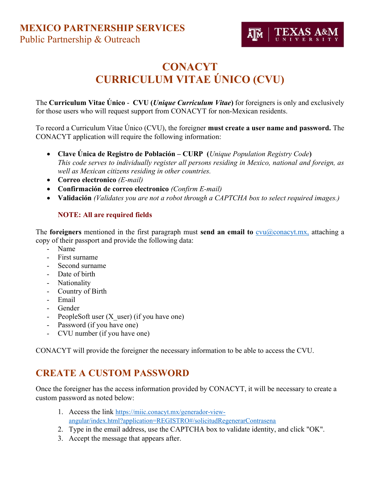

# **CONACYT** CURRICULUM VITAE ÚNICO (CVU)

The Curriculum Vitae Unico - CVU (Unique Curriculum Vitae) for foreigners is only and exclusively for those users who will request support from CONACYT for non-Mexican residents.

To record a Curriculum Vitae Único (CVU), the foreigner must create a user name and password. The CONACYT application will require the following information:

- Clave Unica de Registro de Población CURP (Unique Population Registry Code) This code serves to individually register all persons residing in Mexico, national and foreign, as well as Mexican citizens residing in other countries.
- Correo electronico (E-mail)
- Confirmación de correo electronico (Confirm E-mail)
- Validación (Validates you are not a robot through a CAPTCHA box to select required images.)

### NOTE: All are required fields

The **foreigners** mentioned in the first paragraph must **send an email to**  $cvu@conacyt.mx$ , attaching a copy of their passport and provide the following data:

- Name
- First surname
- Second surname
- Date of birth
- Nationality
- Country of Birth
- Email
- Gender
- PeopleSoft user (X user) (if you have one)
- Password (if you have one)
- CVU number (if you have one)

CONACYT will provide the foreigner the necessary information to be able to access the CVU.

### CREATE A CUSTOM PASSWORD

Once the foreigner has the access information provided by CONACYT, it will be necessary to create a custom password as noted below:

- 1. Access the link https://miic.conacyt.mx/generador-viewangular/index.html?application=REGISTRO#/solicitudRegenerarContrasena
- 2. Type in the email address, use the CAPTCHA box to validate identity, and click "OK".
- 3. Accept the message that appears after.